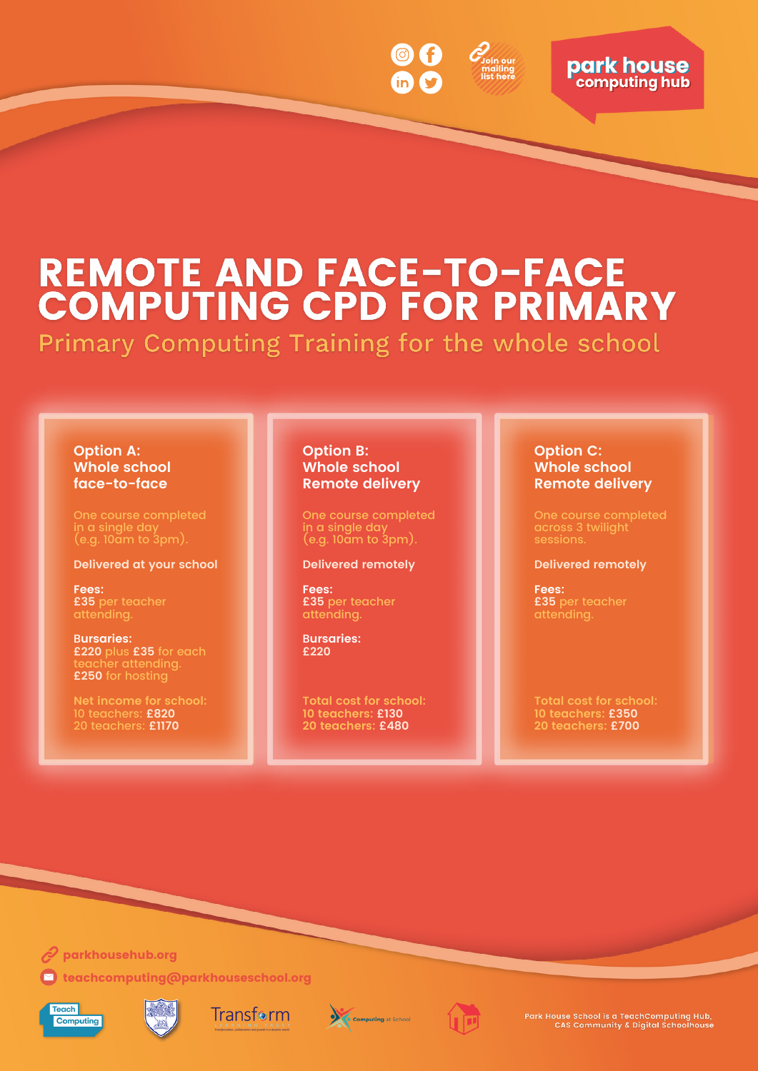

# **park house**

# **REMOTE AND FACE-TO-FACE<br>COMPUTING CPD FOR PRIMARY**

Primary Computing Training for the whole school

# **Option A: Whole school face-to-face**

One course completed in a single day (e.g. 10am to 3pm).

### **Delivered at your school**

**Fees: £35** per teacher attending.

B**ursaries: £220** plus **£35** for each teacher attending. **£250** for hosting

**Net income for school:** 10 teachers: **£820** 20 teachers: **£1170**

## **Option B: Whole school Remote delivery**

One course completed in a single day (e.g. 10am to 3pm).

#### **Delivered remotely**

**Fees: £35** per teacher attending.

B**ursaries: £220**

**Total cost for school: 10 teachers: £130 20 teachers: £480**

## **Option C: Whole school Remote delivery**

One course completed across 3 twilight sessions.

### **Delivered remotely**

**Fees: £35** per teacher attending.

**Total cost for school: 10 teachers: £350 20 teachers: £700**

 $\mathscr Q$  [parkhousehub.org](http://parkhousehub.org/)

 $\blacksquare$  [teachcomputing@parkhouseschool.org](http://parkhousechool.org/)













Park House School is a TeachComputing Hub,<br>CAS Community & Digital Schoolhouse